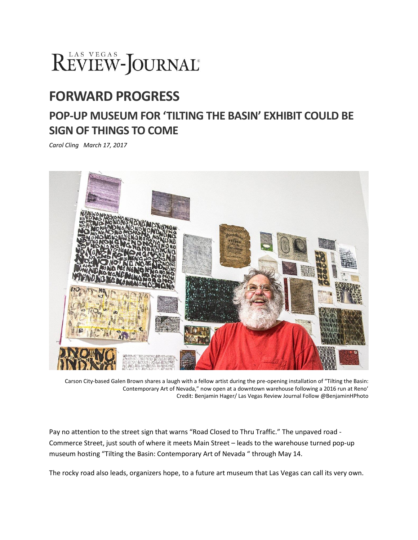# REVIEW-JOURNAL®

## **FORWARD PROGRESS**

## **POP-UP MUSEUM FOR 'TILTING THE BASIN' EXHIBIT COULD BE SIGN OF THINGS TO COME**

*Carol Cling March 17, 2017*



Carson City-based Galen Brown shares a laugh with a fellow artist during the pre-opening installation of "Tilting the Basin: Contemporary Art of Nevada," now open at a downtown warehouse following a 2016 run at Reno' Credit: Benjamin Hager/ Las Vegas Review Journal Follow @BenjaminHPhoto

Pay no attention to the street sign that warns "Road Closed to Thru Traffic." The unpaved road - Commerce Street, just south of where it meets Main Street – leads to the warehouse turned pop-up museum hosting "Tilting the Basin: Contemporary Art of Nevada " through May 14.

The rocky road also leads, organizers hope, to a future art museum that Las Vegas can call its very own.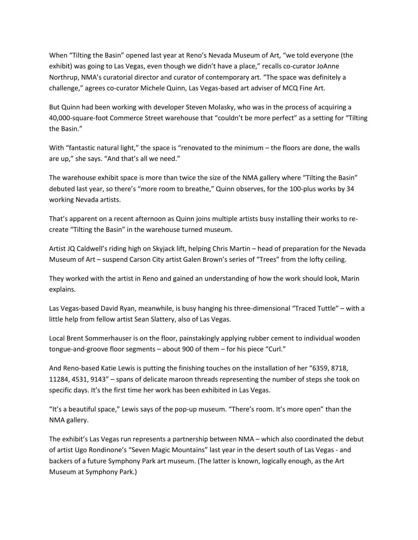When "Tilting the Basin" opened last year at Reno's Nevada Museum of Art, "we told everyone (the exhibit) was going to Las Vegas, even though we didn't have a place," recalls co-curator JoAnne Northrup, NMA's curatorial director and curator of contemporary art. "The space was definitely a challenge," agrees co-curator Michele Quinn, Las Vegas-based art adviser of MCQ Fine Art.

But Quinn had been working with developer Steven Molasky, who was in the process of acquiring a 40,000-square-foot Commerce Street warehouse that "couldn't be more perfect" as a setting for "Tilting the Basin."

With "fantastic natural light," the space is "renovated to the minimum – the floors are done, the walls are up," she says. "And that's all we need."

The warehouse exhibit space is more than twice the size of the NMA gallery where "Tilting the Basin" debuted last year, so there's "more room to breathe," Quinn observes, for the 100-plus works by 34 working Nevada artists.

That's apparent on a recent afternoon as Quinn joins multiple artists busy installing their works to recreate "Tilting the Basin" in the warehouse turned museum.

Artist JQ Caldwell's riding high on Skyjack lift, helping Chris Martin – head of preparation for the Nevada Museum of Art – suspend Carson City artist Galen Brown's series of "Trees" from the lofty ceiling.

They worked with the artist in Reno and gained an understanding of how the work should look, Marin explains.

Las Vegas-based David Ryan, meanwhile, is busy hanging his three-dimensional "Traced Tuttle" – with a little help from fellow artist Sean Slattery, also of Las Vegas.

Local Brent Sommerhauser is on the floor, painstakingly applying rubber cement to individual wooden tongue-and-groove floor segments – about 900 of them – for his piece "Curl."

And Reno-based Katie Lewis is putting the finishing touches on the installation of her "6359, 8718, 11284, 4531, 9143" – spans of delicate maroon threads representing the number of steps she took on specific days. It's the first time her work has been exhibited in Las Vegas.

"It's a beautiful space," Lewis says of the pop-up museum. "There's room. It's more open" than the NMA gallery.

The exhibit's Las Vegas run represents a partnership between NMA – which also coordinated the debut of artist Ugo Rondinone's "Seven Magic Mountains" last year in the desert south of Las Vegas - and backers of a future Symphony Park art museum. (The latter is known, logically enough, as the Art Museum at Symphony Park.)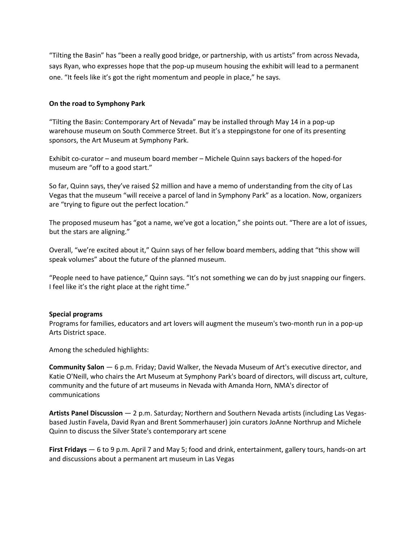"Tilting the Basin" has "been a really good bridge, or partnership, with us artists" from across Nevada, says Ryan, who expresses hope that the pop-up museum housing the exhibit will lead to a permanent one. "It feels like it's got the right momentum and people in place," he says.

### **On the road to Symphony Park**

"Tilting the Basin: Contemporary Art of Nevada" may be installed through May 14 in a pop-up warehouse museum on South Commerce Street. But it's a steppingstone for one of its presenting sponsors, the Art Museum at Symphony Park.

Exhibit co-curator – and museum board member – Michele Quinn says backers of the hoped-for museum are "off to a good start."

So far, Quinn says, they've raised \$2 million and have a memo of understanding from the city of Las Vegas that the museum "will receive a parcel of land in Symphony Park" as a location. Now, organizers are "trying to figure out the perfect location."

The proposed museum has "got a name, we've got a location," she points out. "There are a lot of issues, but the stars are aligning."

Overall, "we're excited about it," Quinn says of her fellow board members, adding that "this show will speak volumes" about the future of the planned museum.

"People need to have patience," Quinn says. "It's not something we can do by just snapping our fingers. I feel like it's the right place at the right time."

#### **Special programs**

Programs for families, educators and art lovers will augment the museum's two-month run in a pop-up Arts District space.

Among the scheduled highlights:

**Community Salon** — 6 p.m. Friday; David Walker, the Nevada Museum of Art's executive director, and Katie O'Neill, who chairs the Art Museum at Symphony Park's board of directors, will discuss art, culture, community and the future of art museums in Nevada with Amanda Horn, NMA's director of communications

**Artists Panel Discussion** — 2 p.m. Saturday; Northern and Southern Nevada artists (including Las Vegasbased Justin Favela, David Ryan and Brent Sommerhauser) join curators JoAnne Northrup and Michele Quinn to discuss the Silver State's contemporary art scene

**First Fridays** — 6 to 9 p.m. April 7 and May 5; food and drink, entertainment, gallery tours, hands-on art and discussions about a permanent art museum in Las Vegas